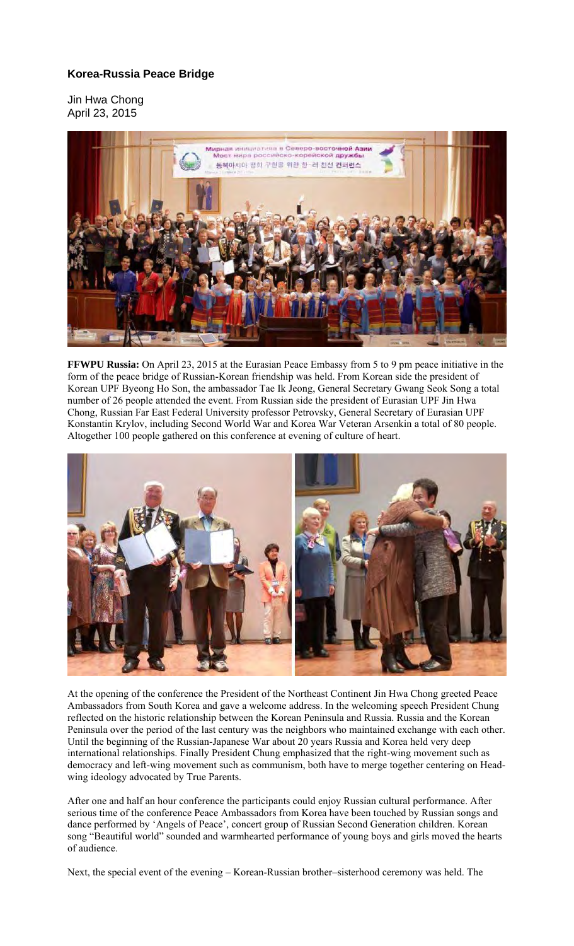## **Korea-Russia Peace Bridge**

Jin Hwa Chong April 23, 2015



**FFWPU Russia:** On April 23, 2015 at the Eurasian Peace Embassy from 5 to 9 pm peace initiative in the form of the peace bridge of Russian-Korean friendship was held. From Korean side the president of Korean UPF Byeong Ho Son, the ambassador Tae Ik Jeong, General Secretary Gwang Seok Song a total number of 26 people attended the event. From Russian side the president of Eurasian UPF Jin Hwa Chong, Russian Far East Federal University professor Petrovsky, General Secretary of Eurasian UPF Konstantin Krylov, including Second World War and Korea War Veteran Arsenkin a total of 80 people. Altogether 100 people gathered on this conference at evening of culture of heart.



At the opening of the conference the President of the Northeast Continent Jin Hwa Chong greeted Peace Ambassadors from South Korea and gave a welcome address. In the welcoming speech President Chung reflected on the historic relationship between the Korean Peninsula and Russia. Russia and the Korean Peninsula over the period of the last century was the neighbors who maintained exchange with each other. Until the beginning of the Russian-Japanese War about 20 years Russia and Korea held very deep international relationships. Finally President Chung emphasized that the right-wing movement such as democracy and left-wing movement such as communism, both have to merge together centering on Headwing ideology advocated by True Parents.

After one and half an hour conference the participants could enjoy Russian cultural performance. After serious time of the conference Peace Ambassadors from Korea have been touched by Russian songs and dance performed by 'Angels of Peace', concert group of Russian Second Generation children. Korean song "Beautiful world" sounded and warmhearted performance of young boys and girls moved the hearts of audience.

Next, the special event of the evening – Korean-Russian brother–sisterhood ceremony was held. The